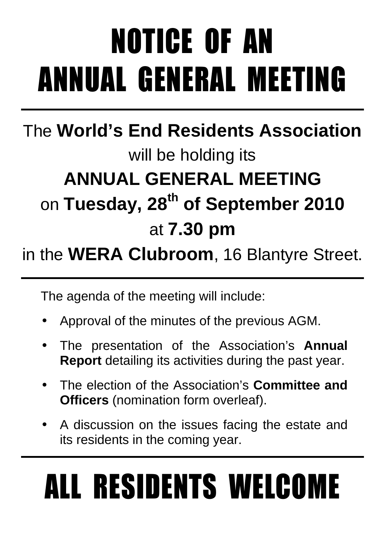# NOTICE OF AN ANNUAL GENERAL MEETING

### The **World's End Residents Association** will be holding its **ANNUAL GENERAL MEETING**  on **Tuesday, 28th of September 2010** at **7.30 pm**

### in the **WERA Clubroom**, 16 Blantyre Street.

The agenda of the meeting will include:

- Approval of the minutes of the previous AGM.
- The presentation of the Association's **Annual Report** detailing its activities during the past year.
- The election of the Association's **Committee and Officers** (nomination form overleaf).
- A discussion on the issues facing the estate and its residents in the coming year.

# ALL RESIDENTS WELCOME